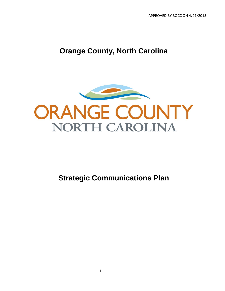## **Orange County, North Carolina**



**Strategic Communications Plan**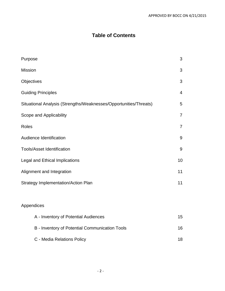## **Table of Contents**

| Purpose                                                           | 3              |
|-------------------------------------------------------------------|----------------|
| <b>Mission</b>                                                    | 3              |
| Objectives                                                        | 3              |
| <b>Guiding Principles</b>                                         | $\overline{4}$ |
| Situational Analysis (Strengths/Weaknesses/Opportunities/Threats) | 5              |
| Scope and Applicability                                           | $\overline{7}$ |
| Roles                                                             | $\overline{7}$ |
| Audience Identification                                           | 9              |
| <b>Tools/Asset Identification</b>                                 | 9              |
| Legal and Ethical Implications                                    | 10             |
| Alignment and Integration                                         | 11             |
| <b>Strategy Implementation/Action Plan</b>                        | 11             |
| Appendices                                                        |                |
| A - Inventory of Potential Audiences                              | 15             |
| B - Inventory of Potential Communication Tools                    | 16             |
| C - Media Relations Policy                                        | 18             |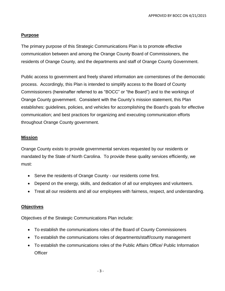#### **Purpose**

The primary purpose of this Strategic Communications Plan is to promote effective communication between and among the Orange County Board of Commissioners, the residents of Orange County, and the departments and staff of Orange County Government.

Public access to government and freely shared information are cornerstones of the democratic process. Accordingly, this Plan is intended to simplify access to the Board of County Commissioners (hereinafter referred to as "BOCC" or "the Board") and to the workings of Orange County government. Consistent with the County's mission statement, this Plan establishes: guidelines, policies, and vehicles for accomplishing the Board's goals for effective communication; and best practices for organizing and executing communication efforts throughout Orange County government.

#### **Mission**

Orange County exists to provide governmental services requested by our residents or mandated by the State of North Carolina. To provide these quality services efficiently, we must:

- Serve the residents of Orange County our residents come first.
- Depend on the energy, skills, and dedication of all our employees and volunteers.
- Treat all our residents and all our employees with fairness, respect, and understanding.

#### **Objectives**

Objectives of the Strategic Communications Plan include:

- To establish the communications roles of the Board of County Commissioners
- To establish the communications roles of departments/staff/county management
- To establish the communications roles of the Public Affairs Office/ Public Information **Officer**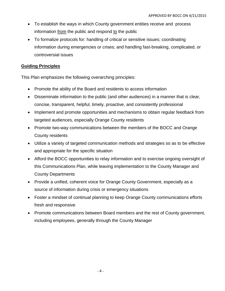- To establish the ways in which County government entities receive and process information from the public and respond to the public
- To formalize protocols for: handling of critical or sensitive issues; coordinating information during emergencies or crises; and handling fast-breaking, complicated, or controversial issues

#### **Guiding Principles**

This Plan emphasizes the following overarching principles:

- Promote the ability of the Board and residents to access information
- Disseminate information to the public (and other audiences) in a manner that is clear, concise, transparent, helpful, timely, proactive, and consistently professional
- Implement and promote opportunities and mechanisms to obtain regular feedback from targeted audiences, especially Orange County residents
- Promote two-way communications between the members of the BOCC and Orange County residents
- Utilize a variety of targeted communication methods and strategies so as to be effective and appropriate for the specific situation
- Afford the BOCC opportunities to relay information and to exercise ongoing oversight of this Communications Plan, while leaving implementation to the County Manager and County Departments
- Provide a unified, coherent voice for Orange County Government, especially as a source of information during crisis or emergency situations
- Foster a mindset of continual planning to keep Orange County communications efforts fresh and responsive
- Promote communications between Board members and the rest of County government, including employees, generally through the County Manager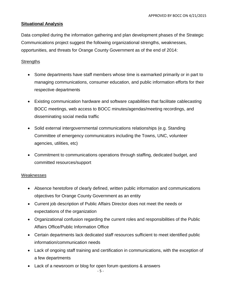#### **Situational Analysis**

Data compiled during the information gathering and plan development phases of the Strategic Communications project suggest the following organizational strengths, weaknesses, opportunities, and threats for Orange County Government as of the end of 2014:

#### **Strengths**

- Some departments have staff members whose time is earmarked primarily or in part to managing communications, consumer education, and public information efforts for their respective departments
- Existing communication hardware and software capabilities that facilitate cablecasting BOCC meetings, web access to BOCC minutes/agendas/meeting recordings, and disseminating social media traffic
- Solid external intergovernmental communications relationships (e.g. Standing Committee of emergency communicators including the Towns, UNC, volunteer agencies, utilities, etc)
- Commitment to communications operations through staffing, dedicated budget, and committed resources/support

#### Weaknesses

- Absence heretofore of clearly defined, written public information and communications objectives for Orange County Government as an entity
- Current job description of Public Affairs Director does not meet the needs or expectations of the organization
- Organizational confusion regarding the current roles and responsibilities of the Public Affairs Office/Public Information Office
- Certain departments lack dedicated staff resources sufficient to meet identified public information/communication needs
- Lack of ongoing staff training and certification in communications, with the exception of a few departments
- Lack of a newsroom or blog for open forum questions & answers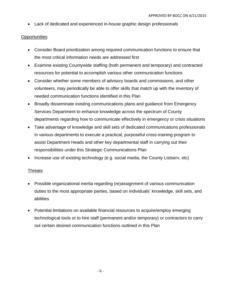Lack of dedicated and experienced in-house graphic design professionals

#### **Opportunities**

- Consider Board prioritization among required communication functions to ensure that the most critical information needs are addressed first
- Examine existing Countywide staffing (both permanent and temporary) and contracted resources for potential to accomplish various other communication functions
- Consider whether some members of advisory boards and commissions, and other volunteers, may periodically be able to offer skills that match up with the inventory of needed communication functions identified in this Plan
- Broadly disseminate existing communications plans and guidance from Emergency Services Department to enhance knowledge across the spectrum of County departments regarding how to communicate effectively in emergency or crisis situations
- Take advantage of knowledge and skill sets of dedicated communications professionals in various departments to execute a practical, purposeful cross-training program to assist Department Heads and other key departmental staff in carrying out their responsibilities under this Strategic Communications Plan
- Increase use of existing technology (e.g. social media, the County Listsery, etc)

#### **Threats**

- Possible organizational inertia regarding (re)assignment of various communication duties to the most appropriate parties, based on individuals' knowledge, skill sets, and abilities
- Potential limitations on available financial resources to acquire/employ emerging technological tools or to hire staff (permanent and/or temporary) or contractors to carry out certain desired communication functions outlined in this Plan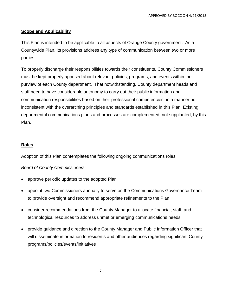#### **Scope and Applicability**

This Plan is intended to be applicable to all aspects of Orange County government. As a Countywide Plan, its provisions address any type of communication between two or more parties.

To properly discharge their responsibilities towards their constituents, County Commissioners must be kept properly apprised about relevant policies, programs, and events within the purview of each County department. That notwithstanding, County department heads and staff need to have considerable autonomy to carry out their public information and communication responsibilities based on their professional competencies, in a manner not inconsistent with the overarching principles and standards established in this Plan. Existing departmental communications plans and processes are complemented, not supplanted, by this Plan.

#### **Roles**

Adoption of this Plan contemplates the following ongoing communications roles:

#### *Board of County Commissioners:*

- approve periodic updates to the adopted Plan
- appoint two Commissioners annually to serve on the Communications Governance Team to provide oversight and recommend appropriate refinements to the Plan
- consider recommendations from the County Manager to allocate financial, staff, and technological resources to address unmet or emerging communications needs
- provide guidance and direction to the County Manager and Public Information Officer that will disseminate information to residents and other audiences regarding significant County programs/policies/events/initiatives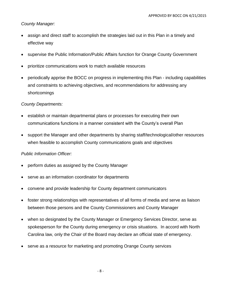#### *County Manager:*

- assign and direct staff to accomplish the strategies laid out in this Plan in a timely and effective way
- supervise the Public Information/Public Affairs function for Orange County Government
- prioritize communications work to match available resources
- periodically apprise the BOCC on progress in implementing this Plan including capabilities and constraints to achieving objectives, and recommendations for addressing any shortcomings

#### *County Departments:*

- establish or maintain departmental plans or processes for executing their own communications functions in a manner consistent with the County's overall Plan
- support the Manager and other departments by sharing staff/technological/other resources when feasible to accomplish County communications goals and objectives

#### *Public Information Officer:*

- perform duties as assigned by the County Manager
- serve as an information coordinator for departments
- convene and provide leadership for County department communicators
- foster strong relationships with representatives of all forms of media and serve as liaison between those persons and the County Commissioners and County Manager
- when so designated by the County Manager or Emergency Services Director, serve as spokesperson for the County during emergency or crisis situations. In accord with North Carolina law, only the Chair of the Board may declare an official state of emergency.
- serve as a resource for marketing and promoting Orange County services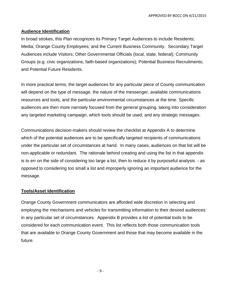#### **Audience Identification**

In broad strokes, this Plan recognizes its Primary Target Audiences to include Residents; Media; Orange County Employees; and the Current Business Community. Secondary Target Audiences include Visitors; Other Governmental Officials (local, state, federal); Community Groups (e.g. civic organizations, faith-based organizations); Potential Business Recruitments; and Potential Future Residents.

In more practical terms, the target audiences for any particular piece of County communication will depend on the type of message, the nature of the messenger, available communications resources and tools, and the particular environmental circumstances at the time. Specific audiences are then more narrowly focused from the general grouping, taking into consideration any targeted marketing campaign, which tools should be used, and any strategic messages.

Communications decision-makers should review the checklist at Appendix A to determine which of the potential audiences are to be specifically targeted recipients of communications under the particular set of circumstances at hand. In many cases, audiences on that list will be non-applicable or redundant. The rationale behind creating and using the list in that appendix is to err on the side of considering too large a list, then to reduce it by purposeful analysis - as opposed to considering too small a list and improperly ignoring an important audience for the message.

#### **Tools/Asset Identification**

Orange County Government communicators are afforded wide discretion in selecting and employing the mechanisms and vehicles for transmitting information to their desired audiences in any particular set of circumstances. Appendix B provides a list of potential tools to be considered for each communication event. This list reflects both those communication tools that are available to Orange County Government and those that may become available in the future.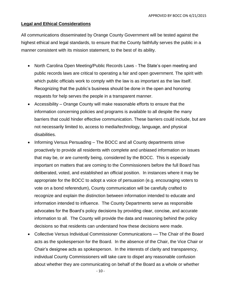#### **Legal and Ethical Considerations**

All communications disseminated by Orange County Government will be tested against the highest ethical and legal standards, to ensure that the County faithfully serves the public in a manner consistent with its mission statement, to the best of its ability.

- North Carolina Open Meeting/Public Records Laws The State's open meeting and public records laws are critical to operating a fair and open government. The spirit with which public officials work to comply with the law is as important as the law itself. Recognizing that the public's business should be done in the open and honoring requests for help serves the people in a transparent manner.
- Accessibility Orange County will make reasonable efforts to ensure that the information concerning policies and programs is available to all despite the many barriers that could hinder effective communication. These barriers could include, but are not necessarily limited to, access to media/technology, language, and physical disabilities.
- Informing Versus Persuading The BOCC and all County departments strive proactively to provide all residents with complete and unbiased information on issues that may be, or are currently being, considered by the BOCC. This is especially important on matters that are coming to the Commissioners before the full Board has deliberated, voted, and established an official position. In instances where it may be appropriate for the BOCC to adopt a voice of persuasion (e.g. encouraging voters to vote on a bond referendum), County communication will be carefully crafted to recognize and explain the distinction between information intended to educate and information intended to influence. The County Departments serve as responsible advocates for the Board's policy decisions by providing clear, concise, and accurate information to all. The County will provide the data and reasoning behind the policy decisions so that residents can understand how these decisions were made.
- Collective Versus Individual Commissioner Communications –– The Chair of the Board acts as the spokesperson for the Board. In the absence of the Chair, the Vice Chair or Chair's designee acts as spokesperson. In the interests of clarity and transparency, individual County Commissioners will take care to dispel any reasonable confusion about whether they are communicating on behalf of the Board as a whole or whether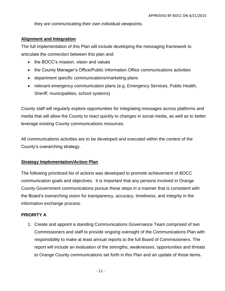they are communicating their own individual viewpoints.

#### **Alignment and Integration**

The full implementation of this Plan will include developing the messaging framework to articulate the connection between this plan and:

- the BOCC's mission, vision and values
- the County Manager's Office/Public Information Office communications activities
- department specific communications/marketing plans
- relevant emergency communication plans (e.g. Emergency Services, Public Health, Sheriff, municipalities, school systems)

County staff will regularly explore opportunities for integrating messages across platforms and media that will allow the County to react quickly to changes in social media, as well as to better leverage existing County communications resources*.*

All communications activities are to be developed and executed within the context of the County's overarching strategy.

#### **Strategy Implementation/Action Plan**

The following prioritized list of actions was developed to promote achievement of BOCC communication goals and objectives. It is important that any persons involved in Orange County Government communications pursue these steps in a manner that is consistent with the Board's overarching vision for transparency, accuracy, timeliness, and integrity in the information exchange process.

#### **PRIORITY A**

1. Create and appoint a standing Communications Governance Team comprised of two Commissioners and staff to provide ongoing oversight of the Communications Plan with responsibility to make at least annual reports to the full Board of Commissioners. The report will include an evaluation of the strengths, weaknesses, opportunities and threats to Orange County communications set forth in this Plan and an update of those items.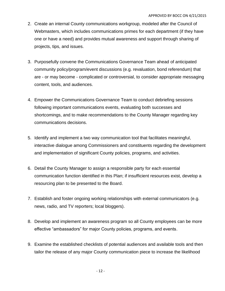- 2. Create an internal County communications workgroup, modeled after the Council of Webmasters, which includes communications primes for each department (if they have one or have a need) and provides mutual awareness and support through sharing of projects, tips, and issues.
- 3. Purposefully convene the Communications Governance Team ahead of anticipated community policy/program/event discussions (e.g. revaluation, bond referendum) that are - or may become - complicated or controversial, to consider appropriate messaging content, tools, and audiences.
- 4. Empower the Communications Governance Team to conduct debriefing sessions following important communications events, evaluating both successes and shortcomings, and to make recommendations to the County Manager regarding key communications decisions.
- 5. Identify and implement a two way communication tool that facilitates meaningful, interactive dialogue among Commissioners and constituents regarding the development and implementation of significant County policies, programs, and activities.
- 6. Detail the County Manager to assign a responsible party for each essential communication function identified in this Plan; if insufficient resources exist, develop a resourcing plan to be presented to the Board.
- 7. Establish and foster ongoing working relationships with external communicators (e.g. news, radio, and TV reporters; local bloggers).
- 8. Develop and implement an awareness program so all County employees can be more effective "ambassadors" for major County policies, programs, and events.
- 9. Examine the established checklists of potential audiences and available tools and then tailor the release of any major County communication piece to increase the likelihood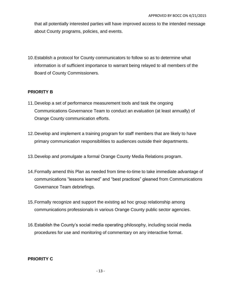that all potentially interested parties will have improved access to the intended message about County programs, policies, and events.

10.Establish a protocol for County communicators to follow so as to determine what information is of sufficient importance to warrant being relayed to all members of the Board of County Commissioners.

#### **PRIORITY B**

- 11.Develop a set of performance measurement tools and task the ongoing Communications Governance Team to conduct an evaluation (at least annually) of Orange County communication efforts.
- 12.Develop and implement a training program for staff members that are likely to have primary communication responsibilities to audiences outside their departments.
- 13.Develop and promulgate a formal Orange County Media Relations program.
- 14.Formally amend this Plan as needed from time-to-time to take immediate advantage of communications "lessons learned" and "best practices" gleaned from Communications Governance Team debriefings.
- 15.Formally recognize and support the existing ad hoc group relationship among communications professionals in various Orange County public sector agencies.
- 16.Establish the County's social media operating philosophy, including social media procedures for use and monitoring of commentary on any interactive format.

#### **PRIORITY C**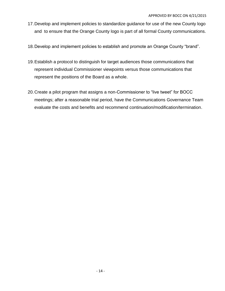- 17.Develop and implement policies to standardize guidance for use of the new County logo and to ensure that the Orange County logo is part of all formal County communications.
- 18.Develop and implement policies to establish and promote an Orange County "brand".
- 19.Establish a protocol to distinguish for target audiences those communications that represent individual Commissioner viewpoints versus those communications that represent the positions of the Board as a whole.
- 20.Create a pilot program that assigns a non-Commissioner to "live tweet" for BOCC meetings; after a reasonable trial period, have the Communications Governance Team evaluate the costs and benefits and recommend continuation/modification/termination.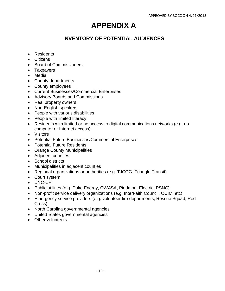# **APPENDIX A**

### **INVENTORY OF POTENTIAL AUDIENCES**

- Residents
- Citizens
- Board of Commissioners
- Taxpayers
- Media
- County departments
- County employees
- Current Businesses/Commercial Enterprises
- Advisory Boards and Commissions
- Real property owners
- Non-English speakers
- People with various disabilities
- People with limited literacy
- Residents with limited or no access to digital communications networks (e.g. no computer or Internet access)
- Visitors
- Potential Future Businesses/Commercial Enterprises
- Potential Future Residents
- Orange County Municipalities
- Adjacent counties
- School districts
- Municipalities in adjacent counties
- Regional organizations or authorities (e.g. TJCOG, Triangle Transit)
- Court system
- UNC-CH
- Public utilities (e.g. Duke Energy, OWASA, Piedmont Electric, PSNC)
- Non-profit service delivery organizations (e.g. InterFaith Council, OCIM, etc)
- Emergency service providers (e.g. volunteer fire departments, Rescue Squad, Red Cross)
- North Carolina governmental agencies
- United States governmental agencies
- Other volunteers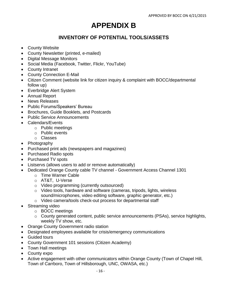## **APPENDIX B**

## **INVENTORY OF POTENTIAL TOOLS/ASSETS**

- County Website
- County Newsletter (printed, e-mailed)
- Digital Message Monitors
- Social Media (Facebook, Twitter, Flickr, YouTube)
- County Intranet
- County Connection E-Mail
- Citizen Comment (website link for citizen inquiry & complaint with BOCC/departmental follow up)
- Everbridge Alert System
- Annual Report
- News Releases
- Public Forums/Speakers' Bureau
- Brochures, Guide Booklets, and Postcards
- Public Service Announcements
- Calendars/Events
	- o Public meetings
	- o Public events
	- o Classes
- Photography
- Purchased print ads (newspapers and magazines)
- Purchased Radio spots
- Purchased TV spots
- Listservs (allows users to add or remove automatically)
- Dedicated Orange County cable TV channel Government Access Channel 1301
	- o Time Warner Cable
	- o AT&T, U-Verse
	- o Video programming (currently outsourced)
	- o Video tools, hardware and software (cameras, tripods, lights, wireless sound/microphones, video editing software, graphic generator, etc.)
	- o Video camera/tools check-out process for departmental staff
- Streaming video
	- o BOCC meetings
	- o County generated content, public service announcements (PSAs), service highlights, weekly TV show, etc.
- Orange County Government radio station
- Designated employees available for crisis/emergency communications
- Guided tours
- County Government 101 sessions (Citizen Academy)
- Town Hall meetings
- County expo
- Active engagement with other communicators within Orange County (Town of Chapel Hill, Town of Carrboro, Town of Hillsborough, UNC, OWASA, etc.)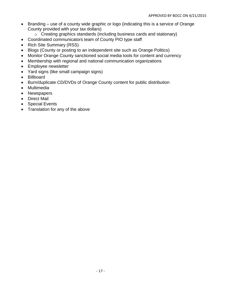- Branding use of a county wide graphic or logo (indicating this is a service of Orange County provided with your tax dollars)
	- o Creating graphics standards (including business cards and stationary)
- Coordinated communicators team of County PIO type staff
- Rich Site Summary (RSS)
- Blogs (County or posting to an independent site such as Orange Politics)
- Monitor Orange County sanctioned social media tools for content and currency
- Membership with regional and national communication organizations
- Employee newsletter
- Yard signs (like small campaign signs)
- Billboard
- Burn/duplicate CD/DVDs of Orange County content for public distribution
- Multimedia
- Newspapers
- Direct Mail
- Special Events
- Translation for any of the above